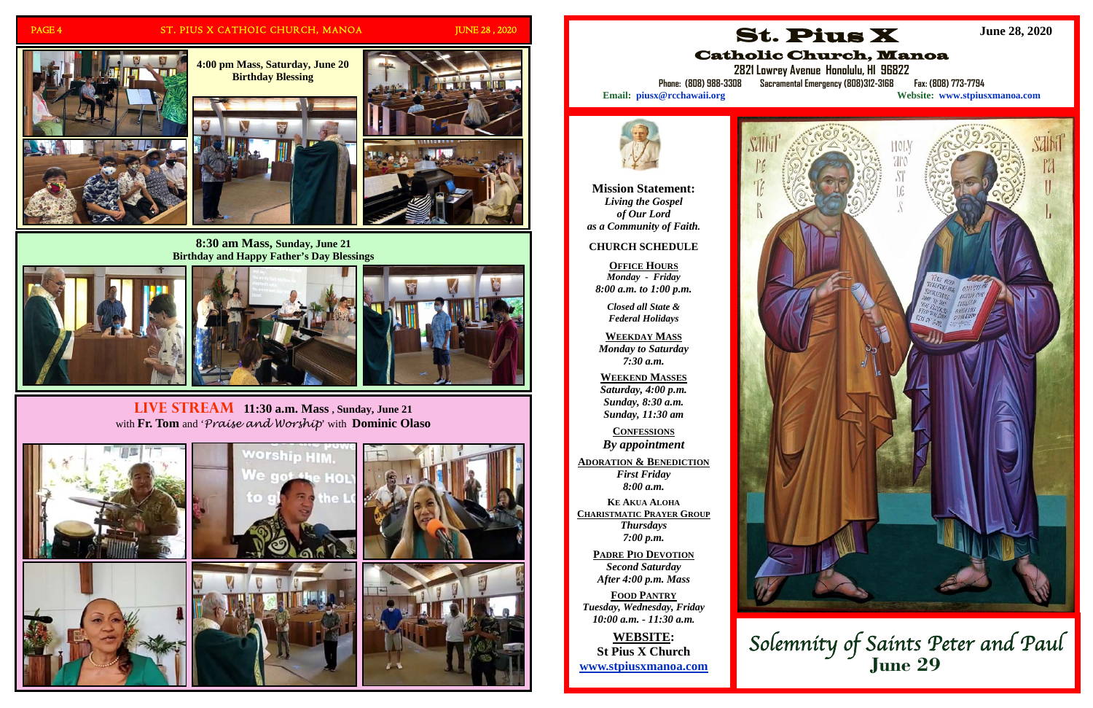

#### PAGE 4 ST. PIUS X CATHOIC CHURCH, MANOA JUNE 28, 2020

**Live Stream 11:30 a.m. Mass , Sunday, June 21**  with **Fr. Tom** and '*Praise and Worship*' with **Dominic Olaso**













Salh





**8:30 am Mass, Sunday, June 21 Birthday and Happy Father's Day Blessings** 







**Mission Statement:**  *Living the Gospel of Our Lord as a Community of Faith.* 

## **CHURCH SCHEDULE**

**OFFICE HOURS** *Monday - Friday 8:00 a.m. to 1:00 p.m.* 

> *Closed all State & Federal Holidays*

**WEEKDAY MASS**  *Monday to Saturday 7:30 a.m.* 

**WEEKEND MASSES**  *Saturday, 4:00 p.m. Sunday, 8:30 a.m. Sunday, 11:30 am* 

**CONFESSIONS** *By appointment* 

**ADORATION & BENEDICTION** *First Friday 8:00 a.m.* 

**K E AKUA ALOHA CHARISTMATIC PRAYER GROUP** *Thursdays 7:00 p.m.* 

> **PADRE PIO DEVOTION** *Second Saturday After 4:00 p.m. Mass*

**FOOD PANTRY***Tuesday, Wednesday, Friday 10:00 a.m. - 11:30 a.m.* 

**WEBSITE: St Pius X Church www.stpiusxmanoa.com** 





**2821 Lowrey Avenue Honolulu, HI 96822** 

**Phone: (808) 988-3308 Sacramental Emergency (808)312-3168 Fax: (808) 773-7794** 

**Email: piusx@rcchawaii.org Website: www.stpiusxmanoa.com**



**June 28, 2020** 

# Solemnity of Saints Peter and Paul **June 29**